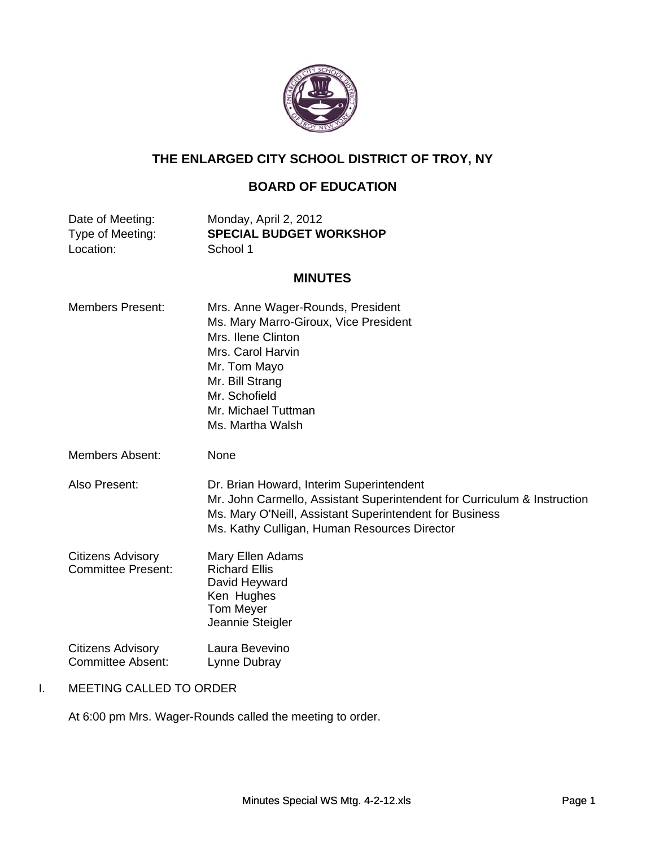

## **THE ENLARGED CITY SCHOOL DISTRICT OF TROY, NY**

# **BOARD OF EDUCATION**

Location: School 1

Date of Meeting: Monday, April 2, 2012<br>Type of Meeting: **SPECIAL BUDGET W SPECIAL BUDGET WORKSHOP** 

## **MINUTES**

| <b>Members Present:</b>                               | Mrs. Anne Wager-Rounds, President<br>Ms. Mary Marro-Giroux, Vice President<br>Mrs. Ilene Clinton<br>Mrs. Carol Harvin<br>Mr. Tom Mayo<br>Mr. Bill Strang<br>Mr. Schofield<br>Mr. Michael Tuttman<br>Ms. Martha Walsh            |
|-------------------------------------------------------|---------------------------------------------------------------------------------------------------------------------------------------------------------------------------------------------------------------------------------|
| Members Absent:                                       | None                                                                                                                                                                                                                            |
| Also Present:                                         | Dr. Brian Howard, Interim Superintendent<br>Mr. John Carmello, Assistant Superintendent for Curriculum & Instruction<br>Ms. Mary O'Neill, Assistant Superintendent for Business<br>Ms. Kathy Culligan, Human Resources Director |
| <b>Citizens Advisory</b><br><b>Committee Present:</b> | Mary Ellen Adams<br><b>Richard Ellis</b><br>David Heyward<br>Ken Hughes<br><b>Tom Meyer</b><br>Jeannie Steigler                                                                                                                 |
| <b>Citizens Advisory</b><br>Committee Absent:         | Laura Bevevino<br>Lynne Dubray                                                                                                                                                                                                  |

## I. MEETING CALLED TO ORDER

At 6:00 pm Mrs. Wager-Rounds called the meeting to order.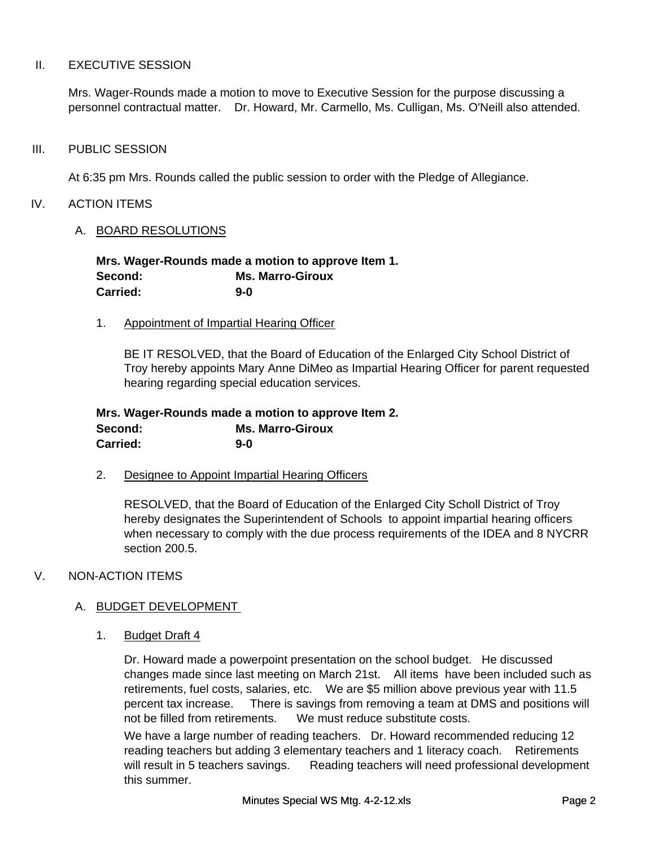#### II. EXECUTIVE SESSION

Mrs. Wager-Rounds made a motion to move to Executive Session for the purpose discussing a personnel contractual matter. Dr. Howard, Mr. Carmello, Ms. Culligan, Ms. O'Neill also attended.

#### III. PUBLIC SESSION

At 6:35 pm Mrs. Rounds called the public session to order with the Pledge of Allegiance.

#### IV. ACTION ITEMS

#### A. BOARD RESOLUTIONS

**Mrs. Wager-Rounds made a motion to approve Item 1. Second: Ms. Marro-Giroux Carried: 9-0**

#### 1. Appointment of Impartial Hearing Officer

BE IT RESOLVED, that the Board of Education of the Enlarged City School District of Troy hereby appoints Mary Anne DiMeo as Impartial Hearing Officer for parent requested hearing regarding special education services.

#### **Mrs. Wager-Rounds made a motion to approve Item 2. Second: Ms. Marro-Giroux Carried: 9-0**

2. Designee to Appoint Impartial Hearing Officers

RESOLVED, that the Board of Education of the Enlarged City Scholl District of Troy hereby designates the Superintendent of Schools to appoint impartial hearing officers when necessary to comply with the due process requirements of the IDEA and 8 NYCRR section 200.5.

## V. NON-ACTION ITEMS

## A. BUDGET DEVELOPMENT

1. Budget Draft 4

Dr. Howard made a powerpoint presentation on the school budget. He discussed changes made since last meeting on March 21st. All items have been included such as retirements, fuel costs, salaries, etc. We are \$5 million above previous year with 11.5 percent tax increase. There is savings from removing a team at DMS and positions will not be filled from retirements. We must reduce substitute costs.

We have a large number of reading teachers. Dr. Howard recommended reducing 12 reading teachers but adding 3 elementary teachers and 1 literacy coach. Retirements will result in 5 teachers savings. Reading teachers will need professional development this summer.